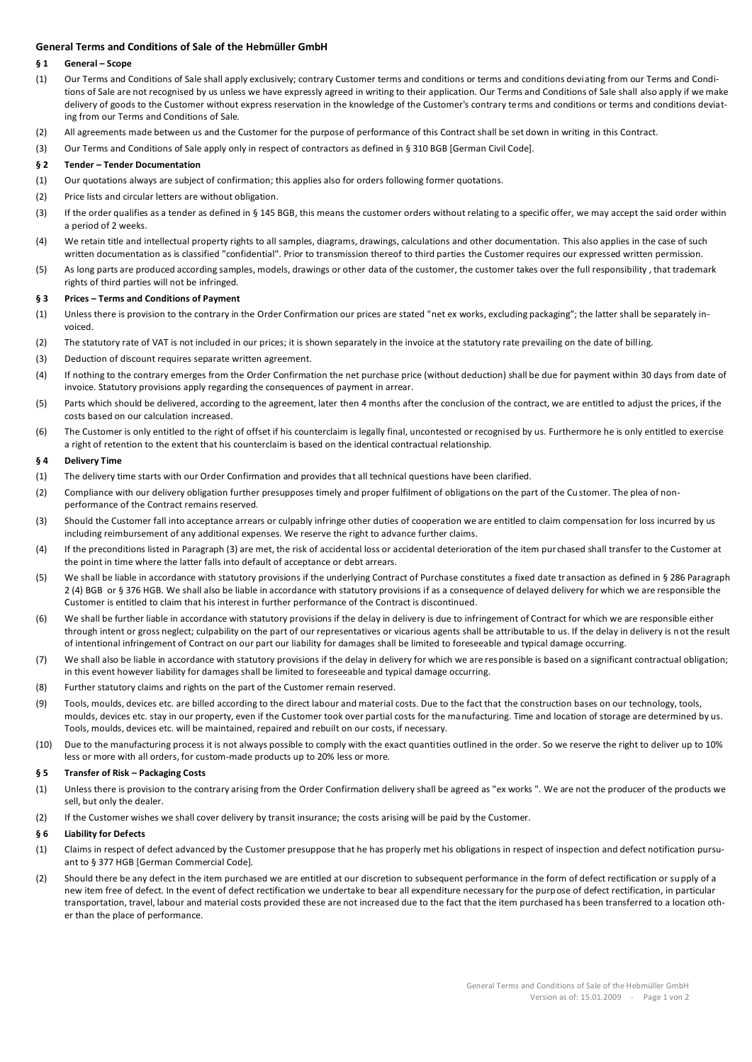# **General Terms and Conditions of Sale of the Hebmüller GmbH**

### **§ 1 General – Scope**

- (1) Our Terms and Conditions of Sale shall apply exclusively; contrary Customer terms and conditions or terms and conditions deviating from our Terms and Conditions of Sale are not recognised by us unless we have expressly agreed in writing to their application. Our Terms and Conditions of Sale shall also apply if we make delivery of goods to the Customer without express reservation in the knowledge of the Customer's contrary terms and conditions or terms and conditions deviating from our Terms and Conditions of Sale.
- (2) All agreements made between us and the Customer for the purpose of performance of this Contract shall be set down in writing in this Contract.
- (3) Our Terms and Conditions of Sale apply only in respect of contractors as defined in § 310 BGB [German Civil Code].

#### **§ 2 Tender – Tender Documentation**

- (1) Our quotations always are subject of confirmation; this applies also for orders following former quotations.
- (2) Price lists and circular letters are without obligation.
- (3) If the order qualifies as a tender as defined in § 145 BGB, this means the customer orders without relating to a specific offer, we may accept the said order within a period of 2 weeks.
- (4) We retain title and intellectual property rights to all samples, diagrams, drawings, calculations and other documentation. This also applies in the case of such written documentation as is classified "confidential". Prior to transmission thereof to third parties the Customer requires our expressed written permission.
- (5) As long parts are produced according samples, models, drawings or other data of the customer, the customer takes over the full responsibility , that trademark rights of third parties will not be infringed.

### **§ 3 Prices – Terms and Conditions of Payment**

- (1) Unless there is provision to the contrary in the Order Confirmation our prices are stated "net ex works, excluding packaging"; the latter shall be separately invoiced.
- (2) The statutory rate of VAT is not included in our prices; it is shown separately in the invoice at the statutory rate prevailing on the date of billing.
- (3) Deduction of discount requires separate written agreement.
- (4) If nothing to the contrary emerges from the Order Confirmation the net purchase price (without deduction) shall be due for payment within 30 days from date of invoice. Statutory provisions apply regarding the consequences of payment in arrear.
- (5) Parts which should be delivered, according to the agreement, later then 4 months after the conclusion of the contract, we are entitled to adjust the prices, if the costs based on our calculation increased.
- (6) The Customer is only entitled to the right of offset if his counterclaim is legally final, uncontested or recognised by us. Furthermore he is only entitled to exercise a right of retention to the extent that his counterclaim is based on the identical contractual relationship.

# **§ 4 Delivery Time**

- (1) The delivery time starts with our Order Confirmation and provides that all technical questions have been clarified.
- (2) Compliance with our delivery obligation further presupposes timely and proper fulfilment of obligations on the part of the Customer. The plea of nonperformance of the Contract remains reserved.
- (3) Should the Customer fall into acceptance arrears or culpably infringe other duties of cooperation we are entitled to claim compensation for loss incurred by us including reimbursement of any additional expenses. We reserve the right to advance further claims.
- (4) If the preconditions listed in Paragraph (3) are met, the risk of accidental loss or accidental deterioration of the item pur chased shall transfer to the Customer at the point in time where the latter falls into default of acceptance or debt arrears.
- (5) We shall be liable in accordance with statutory provisions if the underlying Contract of Purchase constitutes a fixed date transaction as defined in § 286 Paragraph 2 (4) BGB or § 376 HGB. We shall also be liable in accordance with statutory provisions if as a consequence of delayed delivery for which we are responsible the Customer is entitled to claim that his interest in further performance of the Contract is discontinued.
- (6) We shall be further liable in accordance with statutory provisions if the delay in delivery is due to infringement of Contract for which we are responsible either through intent or gross neglect; culpability on the part of our representatives or vicarious agents shall be attributable to us. If the delay in delivery is not the result of intentional infringement of Contract on our part our liability for damages shall be limited to foreseeable and typical damage occurring.
- (7) We shall also be liable in accordance with statutory provisions if the delay in delivery for which we are responsible is based on a significant contractual obligation; in this event however liability for damages shall be limited to foreseeable and typical damage occurring.
- (8) Further statutory claims and rights on the part of the Customer remain reserved.
- (9) Tools, moulds, devices etc. are billed according to the direct labour and material costs. Due to the fact that the construction bases on our technology, tools, moulds, devices etc. stay in our property, even if the Customer took over partial costs for the manufacturing. Time and location of storage are determined by us. Tools, moulds, devices etc. will be maintained, repaired and rebuilt on our costs, if necessary.
- (10) Due to the manufacturing process it is not always possible to comply with the exact quantities outlined in the order. So we reserve the right to deliver up to 10% less or more with all orders, for custom-made products up to 20% less or more.

# **§ 5 Transfer of Risk – Packaging Costs**

- (1) Unless there is provision to the contrary arising from the Order Confirmation delivery shall be agreed as "ex works ". We are not the producer of the products we sell, but only the dealer.
- (2) If the Customer wishes we shall cover delivery by transit insurance; the costs arising will be paid by the Customer.

## **§ 6 Liability for Defects**

- (1) Claims in respect of defect advanced by the Customer presuppose that he has properly met his obligations in respect of inspection and defect notification pursuant to § 377 HGB [German Commercial Code].
- (2) Should there be any defect in the item purchased we are entitled at our discretion to subsequent performance in the form of defect rectification or supply of a new item free of defect. In the event of defect rectification we undertake to bear all expenditure necessary for the purpose of defect rectification, in particular transportation, travel, labour and material costs provided these are not increased due to the fact that the item purchased ha s been transferred to a location other than the place of performance.